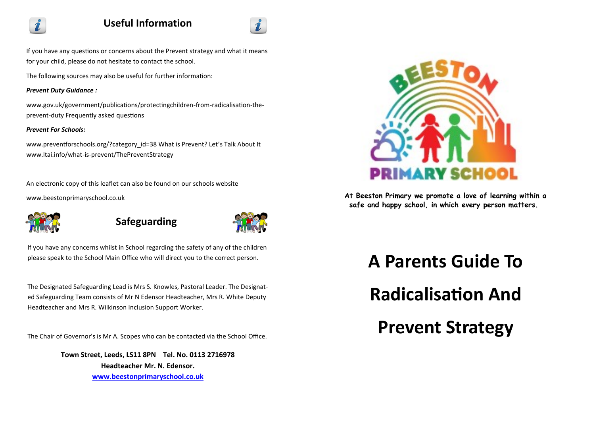

# **Useful Information**



If you have any questions or concerns about the Prevent strategy and what it means for your child, please do not hesitate to contact the school.

The following sources may also be useful for further information:

### *Prevent Duty Guidance :*

www.gov.uk/government/publications/protectingchildren-from-radicalisation-theprevent-duty Frequently asked questions

## *Prevent For Schools:*

www.preventforschools.org/?category\_id=38 What is Prevent? Let's Talk About It www.ltai.info/what-is-prevent/ThePreventStrategy

An electronic copy of this leaflet can also be found on our schools website www.beestonprimaryschool.co.uk



**Safeguarding**



If you have any concerns whilst in School regarding the safety of any of the children please speak to the School Main Office who will direct you to the correct person.

The Designated Safeguarding Lead is Mrs S. Knowles, Pastoral Leader. The Designated Safeguarding Team consists of Mr N Edensor Headteacher, Mrs R. White Deputy Headteacher and Mrs R. Wilkinson Inclusion Support Worker.

The Chair of Governor's is Mr A. Scopes who can be contacted via the School Office.

**Town Street, Leeds, LS11 8PN Tel. No. 0113 2716978 Headteacher Mr. N. Edensor. [www.beestonprimaryschool.co.uk](http://www.beestonprimaryschool.co.uk)**



**At Beeston Primary we promote a love of learning within a safe and happy school, in which every person matters.**

**A Parents Guide To** 

**Radicalisation And** 

**Prevent Strategy**